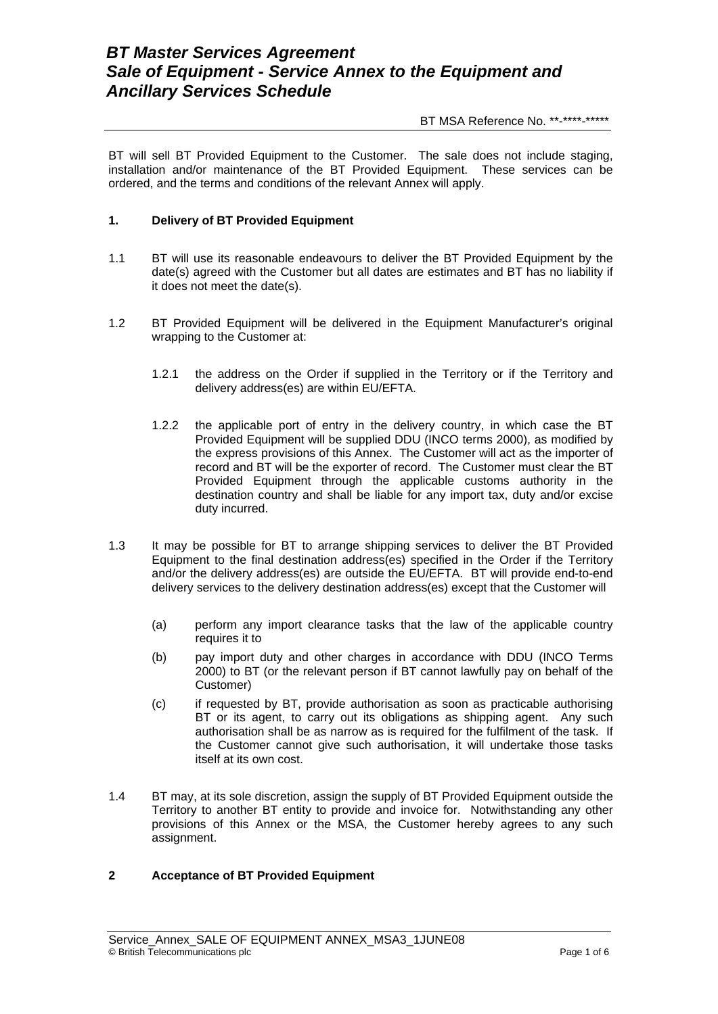# *BT Master Services Agreement Sale of Equipment - Service Annex to the Equipment and Ancillary Services Schedule*

BT MSA Reference No. \*\*-\*\*\*\*-\*\*\*\*\*

BT will sell BT Provided Equipment to the Customer. The sale does not include staging, installation and/or maintenance of the BT Provided Equipment. These services can be ordered, and the terms and conditions of the relevant Annex will apply.

### **1. Delivery of BT Provided Equipment**

- 1.1 BT will use its reasonable endeavours to deliver the BT Provided Equipment by the date(s) agreed with the Customer but all dates are estimates and BT has no liability if it does not meet the date(s).
- 1.2 BT Provided Equipment will be delivered in the Equipment Manufacturer's original wrapping to the Customer at:
	- 1.2.1 the address on the Order if supplied in the Territory or if the Territory and delivery address(es) are within EU/EFTA.
	- 1.2.2 the applicable port of entry in the delivery country, in which case the BT Provided Equipment will be supplied DDU (INCO terms 2000), as modified by the express provisions of this Annex. The Customer will act as the importer of record and BT will be the exporter of record. The Customer must clear the BT Provided Equipment through the applicable customs authority in the destination country and shall be liable for any import tax, duty and/or excise duty incurred.
- 1.3 It may be possible for BT to arrange shipping services to deliver the BT Provided Equipment to the final destination address(es) specified in the Order if the Territory and/or the delivery address(es) are outside the EU/EFTA. BT will provide end-to-end delivery services to the delivery destination address(es) except that the Customer will
	- (a) perform any import clearance tasks that the law of the applicable country requires it to
	- (b) pay import duty and other charges in accordance with DDU (INCO Terms 2000) to BT (or the relevant person if BT cannot lawfully pay on behalf of the Customer)
	- (c) if requested by BT, provide authorisation as soon as practicable authorising BT or its agent, to carry out its obligations as shipping agent. Any such authorisation shall be as narrow as is required for the fulfilment of the task. If the Customer cannot give such authorisation, it will undertake those tasks itself at its own cost.
- 1.4 BT may, at its sole discretion, assign the supply of BT Provided Equipment outside the Territory to another BT entity to provide and invoice for. Notwithstanding any other provisions of this Annex or the MSA, the Customer hereby agrees to any such assignment.

## **2 Acceptance of BT Provided Equipment**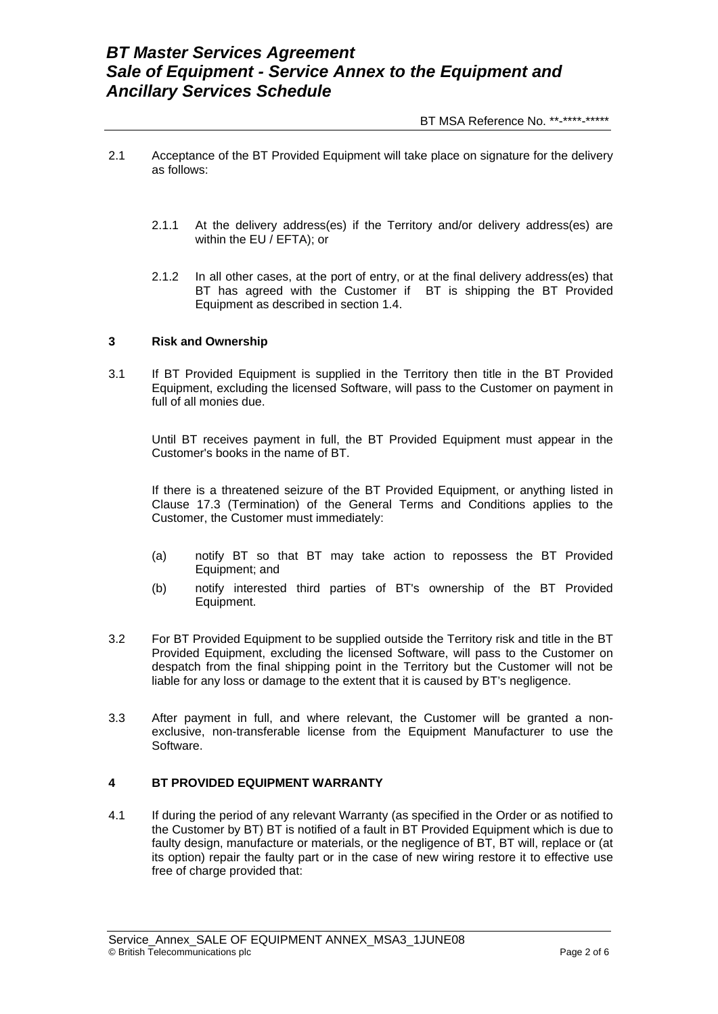BT MSA Reference No. \*\*-\*\*\*\*-\*\*\*\*\*

- 2.1 Acceptance of the BT Provided Equipment will take place on signature for the delivery as follows:
	- 2.1.1 At the delivery address(es) if the Territory and/or delivery address(es) are within the EU / EFTA); or
	- 2.1.2 In all other cases, at the port of entry, or at the final delivery address(es) that BT has agreed with the Customer if BT is shipping the BT Provided Equipment as described in section 1.4.

#### **3 Risk and Ownership**

3.1 If BT Provided Equipment is supplied in the Territory then title in the BT Provided Equipment, excluding the licensed Software, will pass to the Customer on payment in full of all monies due.

 Until BT receives payment in full, the BT Provided Equipment must appear in the Customer's books in the name of BT.

If there is a threatened seizure of the BT Provided Equipment, or anything listed in Clause 17.3 (Termination) of the General Terms and Conditions applies to the Customer, the Customer must immediately:

- (a) notify BT so that BT may take action to repossess the BT Provided Equipment; and
- (b) notify interested third parties of BT's ownership of the BT Provided Equipment.
- 3.2 For BT Provided Equipment to be supplied outside the Territory risk and title in the BT Provided Equipment, excluding the licensed Software, will pass to the Customer on despatch from the final shipping point in the Territory but the Customer will not be liable for any loss or damage to the extent that it is caused by BT's negligence.
- 3.3 After payment in full, and where relevant, the Customer will be granted a nonexclusive, non-transferable license from the Equipment Manufacturer to use the Software.

## **4 BT PROVIDED EQUIPMENT WARRANTY**

4.1 If during the period of any relevant Warranty (as specified in the Order or as notified to the Customer by BT) BT is notified of a fault in BT Provided Equipment which is due to faulty design, manufacture or materials, or the negligence of BT, BT will, replace or (at its option) repair the faulty part or in the case of new wiring restore it to effective use free of charge provided that: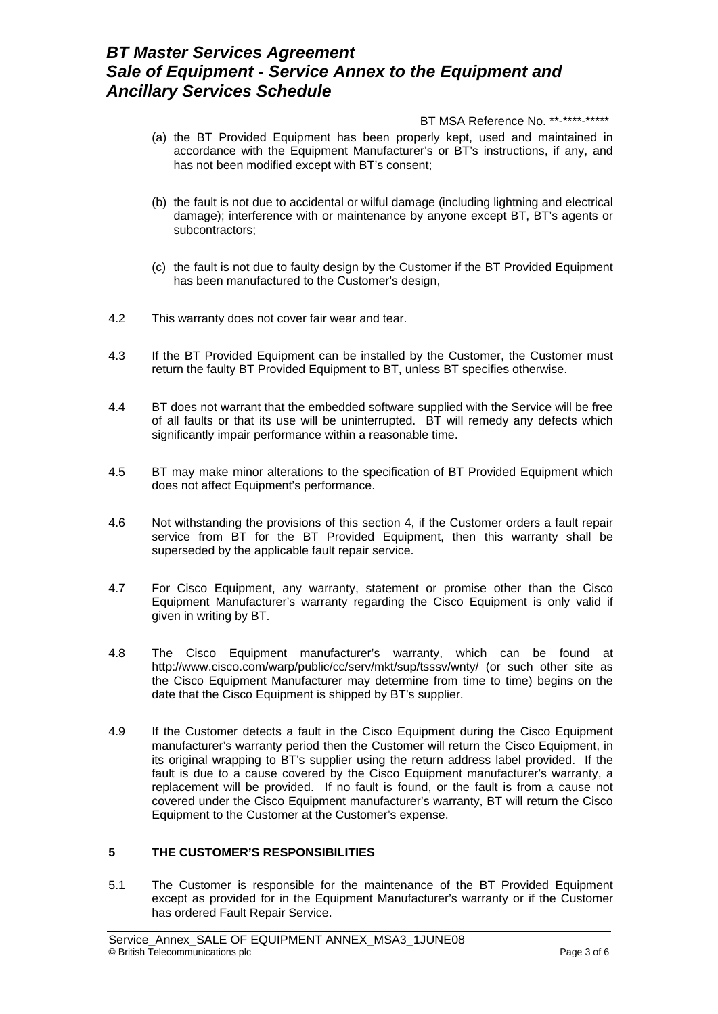## *BT Master Services Agreement Sale of Equipment - Service Annex to the Equipment and Ancillary Services Schedule*

#### BT MSA Reference No. \*\*-\*\*\*\*-\*\*\*\*\*

- (a) the BT Provided Equipment has been properly kept, used and maintained in accordance with the Equipment Manufacturer's or BT's instructions, if any, and has not been modified except with BT's consent;
- (b) the fault is not due to accidental or wilful damage (including lightning and electrical damage); interference with or maintenance by anyone except BT, BT's agents or subcontractors;
- (c) the fault is not due to faulty design by the Customer if the BT Provided Equipment has been manufactured to the Customer's design,
- 4.2 This warranty does not cover fair wear and tear.
- 4.3 If the BT Provided Equipment can be installed by the Customer, the Customer must return the faulty BT Provided Equipment to BT, unless BT specifies otherwise.
- 4.4 BT does not warrant that the embedded software supplied with the Service will be free of all faults or that its use will be uninterrupted. BT will remedy any defects which significantly impair performance within a reasonable time.
- 4.5 BT may make minor alterations to the specification of BT Provided Equipment which does not affect Equipment's performance.
- 4.6 Not withstanding the provisions of this section 4, if the Customer orders a fault repair service from BT for the BT Provided Equipment, then this warranty shall be superseded by the applicable fault repair service.
- 4.7 For Cisco Equipment, any warranty, statement or promise other than the Cisco Equipment Manufacturer's warranty regarding the Cisco Equipment is only valid if given in writing by BT.
- 4.8 The Cisco Equipment manufacturer's warranty, which can be found at <http://www.cisco.com/warp/public/cc/serv/mkt/sup/tsssv/wnty/> (or such other site as the Cisco Equipment Manufacturer may determine from time to time) begins on the date that the Cisco Equipment is shipped by BT's supplier.
- 4.9 If the Customer detects a fault in the Cisco Equipment during the Cisco Equipment manufacturer's warranty period then the Customer will return the Cisco Equipment, in its original wrapping to BT's supplier using the return address label provided. If the fault is due to a cause covered by the Cisco Equipment manufacturer's warranty, a replacement will be provided. If no fault is found, or the fault is from a cause not covered under the Cisco Equipment manufacturer's warranty, BT will return the Cisco Equipment to the Customer at the Customer's expense.

### **5 THE CUSTOMER'S RESPONSIBILITIES**

5.1 The Customer is responsible for the maintenance of the BT Provided Equipment except as provided for in the Equipment Manufacturer's warranty or if the Customer has ordered Fault Repair Service.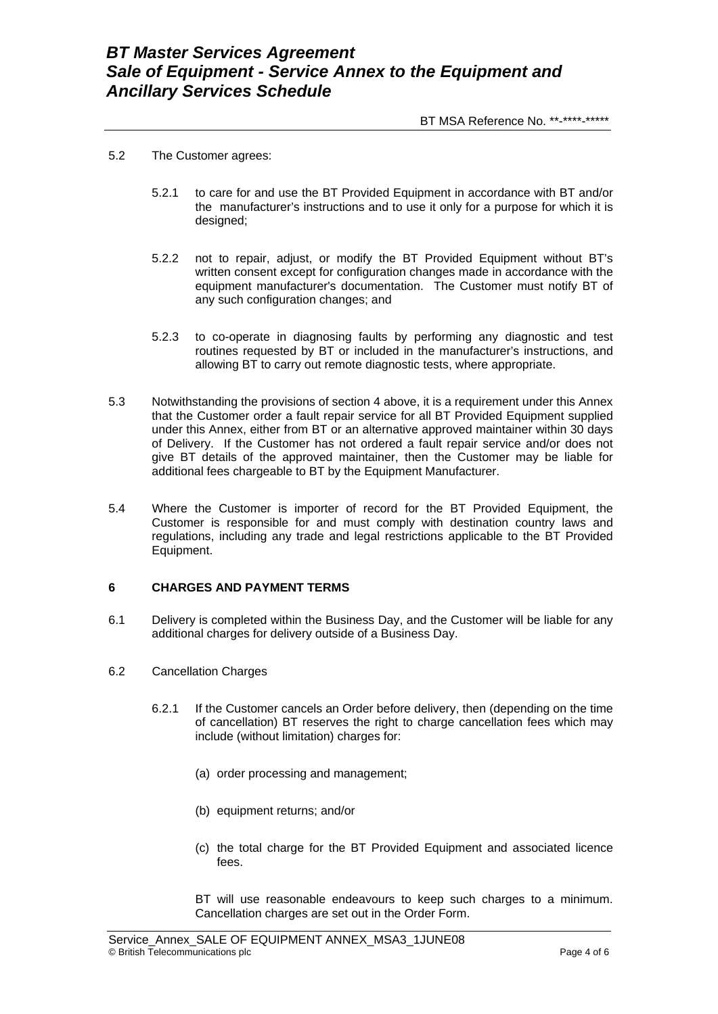- 5.2 The Customer agrees:
	- 5.2.1 to care for and use the BT Provided Equipment in accordance with BT and/or the manufacturer's instructions and to use it only for a purpose for which it is designed;
	- 5.2.2 not to repair, adjust, or modify the BT Provided Equipment without BT's written consent except for configuration changes made in accordance with the equipment manufacturer's documentation. The Customer must notify BT of any such configuration changes; and
	- 5.2.3 to co-operate in diagnosing faults by performing any diagnostic and test routines requested by BT or included in the manufacturer's instructions, and allowing BT to carry out remote diagnostic tests, where appropriate.
- 5.3 Notwithstanding the provisions of section 4 above, it is a requirement under this Annex that the Customer order a fault repair service for all BT Provided Equipment supplied under this Annex, either from BT or an alternative approved maintainer within 30 days of Delivery. If the Customer has not ordered a fault repair service and/or does not give BT details of the approved maintainer, then the Customer may be liable for additional fees chargeable to BT by the Equipment Manufacturer.
- 5.4 Where the Customer is importer of record for the BT Provided Equipment, the Customer is responsible for and must comply with destination country laws and regulations, including any trade and legal restrictions applicable to the BT Provided Equipment.

## **6 CHARGES AND PAYMENT TERMS**

- 6.1 Delivery is completed within the Business Day, and the Customer will be liable for any additional charges for delivery outside of a Business Day.
- 6.2 Cancellation Charges
	- 6.2.1 If the Customer cancels an Order before delivery, then (depending on the time of cancellation) BT reserves the right to charge cancellation fees which may include (without limitation) charges for:
		- (a) order processing and management;
		- (b) equipment returns; and/or
		- (c) the total charge for the BT Provided Equipment and associated licence fees.

 BT will use reasonable endeavours to keep such charges to a minimum. Cancellation charges are set out in the Order Form.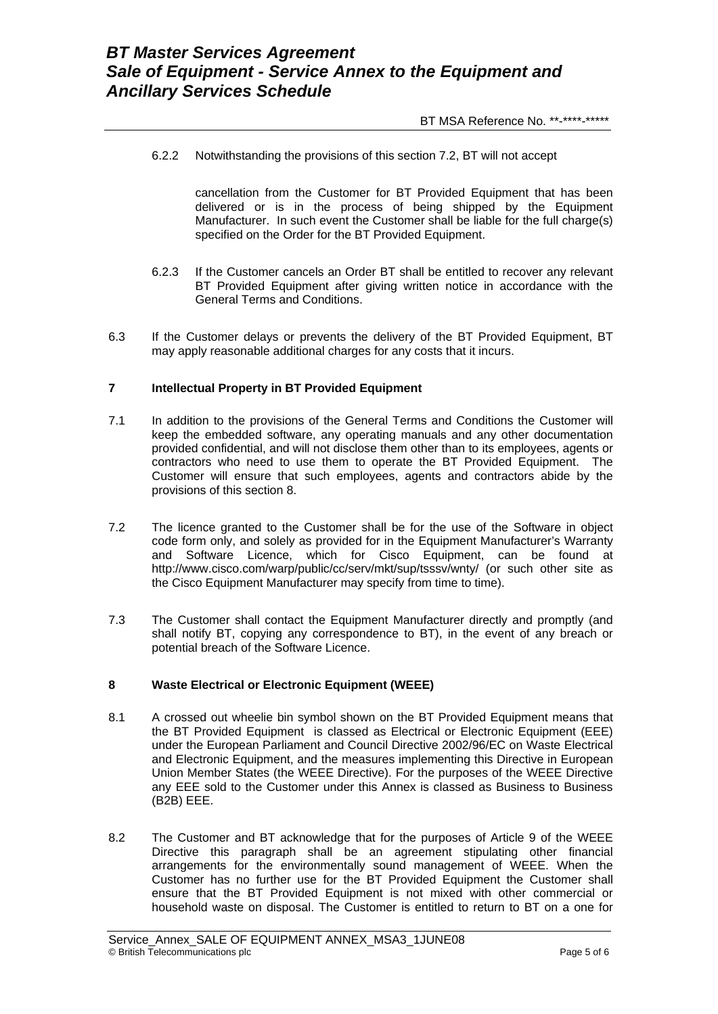BT MSA Reference No. \*\*-\*\*\*\*-\*\*\*\*\*

6.2.2 Notwithstanding the provisions of this section 7.2, BT will not accept

 cancellation from the Customer for BT Provided Equipment that has been delivered or is in the process of being shipped by the Equipment Manufacturer. In such event the Customer shall be liable for the full charge(s) specified on the Order for the BT Provided Equipment.

- 6.2.3 If the Customer cancels an Order BT shall be entitled to recover any relevant BT Provided Equipment after giving written notice in accordance with the General Terms and Conditions.
- 6.3 If the Customer delays or prevents the delivery of the BT Provided Equipment, BT may apply reasonable additional charges for any costs that it incurs.

## **7 Intellectual Property in BT Provided Equipment**

- 7.1 In addition to the provisions of the General Terms and Conditions the Customer will keep the embedded software, any operating manuals and any other documentation provided confidential, and will not disclose them other than to its employees, agents or contractors who need to use them to operate the BT Provided Equipment. The Customer will ensure that such employees, agents and contractors abide by the provisions of this section 8.
- 7.2 The licence granted to the Customer shall be for the use of the Software in object code form only, and solely as provided for in the Equipment Manufacturer's Warranty and Software Licence, which for Cisco Equipment, can be found at <http://www.cisco.com/warp/public/cc/serv/mkt/sup/tsssv/wnty/> (or such other site as the Cisco Equipment Manufacturer may specify from time to time).
- 7.3 The Customer shall contact the Equipment Manufacturer directly and promptly (and shall notify BT, copying any correspondence to BT), in the event of any breach or potential breach of the Software Licence.

#### **8 Waste Electrical or Electronic Equipment (WEEE)**

- 8.1 A crossed out wheelie bin symbol shown on the BT Provided Equipment means that the BT Provided Equipment is classed as Electrical or Electronic Equipment (EEE) under the European Parliament and Council Directive 2002/96/EC on Waste Electrical and Electronic Equipment, and the measures implementing this Directive in European Union Member States (the WEEE Directive). For the purposes of the WEEE Directive any EEE sold to the Customer under this Annex is classed as Business to Business (B2B) EEE.
- 8.2 The Customer and BT acknowledge that for the purposes of Article 9 of the WEEE Directive this paragraph shall be an agreement stipulating other financial arrangements for the environmentally sound management of WEEE. When the Customer has no further use for the BT Provided Equipment the Customer shall ensure that the BT Provided Equipment is not mixed with other commercial or household waste on disposal. The Customer is entitled to return to BT on a one for